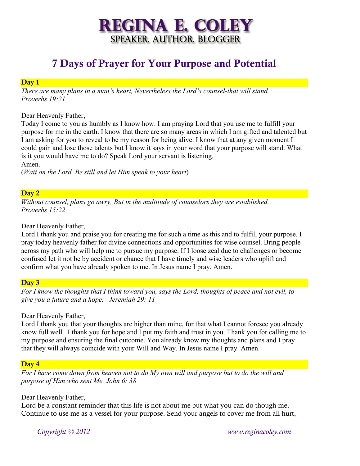# **REGINA E. COLEY** SPEAKER. AUTHOR. BLOGGER

# 7 Days of Prayer for Your Purpose and Potential

### Day 1

*There are many plans in a man's heart, Nevertheless the Lord's counsel-that will stand. Proverbs 19:21*

Dear Heavenly Father,

Today I come to you as humbly as I know how. I am praying Lord that you use me to fulfill your purpose for me in the earth. I know that there are so many areas in which I am gifted and talented but I am asking for you to reveal to be my reason for being alive. I know that at any given moment I could gain and lose those talents but I know it says in your word that your purpose will stand. What is it you would have me to do? Speak Lord your servant is listening.

Amen.

(*Wait on the Lord. Be still and let Him speak to your heart*)

# Day 2

*Without counsel, plans go awry, But in the multitude of counselors they are established. Proverbs 15:22*

Dear Heavenly Father,

Lord I thank you and praise you for creating me for such a time as this and to fulfill your purpose. I pray today heavenly father for divine connections and opportunities for wise counsel. Bring people across my path who will help me to pursue my purpose. If I loose zeal due to challenges or become confused let it not be by accident or chance that I have timely and wise leaders who uplift and confirm what you have already spoken to me. In Jesus name I pray. Amen.

# Day 3

*For I know the thoughts that I think toward you, says the Lord, thoughts of peace and not evil, to give you a future and a hope. Jeremiah 29: 11*

Dear Heavenly Father,

Lord I thank you that your thoughts are higher than mine, for that what I cannot foresee you already know full well. I thank you for hope and I put my faith and trust in you. Thank you for calling me to my purpose and ensuring the final outcome. You already know my thoughts and plans and I pray that they will always coincide with your Will and Way. In Jesus name I pray. Amen.

# Day 4

*For I have come down from heaven not to do My own will and purpose but to do the will and purpose of Him who sent Me. John 6: 38*

Dear Heavenly Father,

Lord be a constant reminder that this life is not about me but what you can do though me. Continue to use me as a vessel for your purpose. Send your angels to cover me from all hurt,